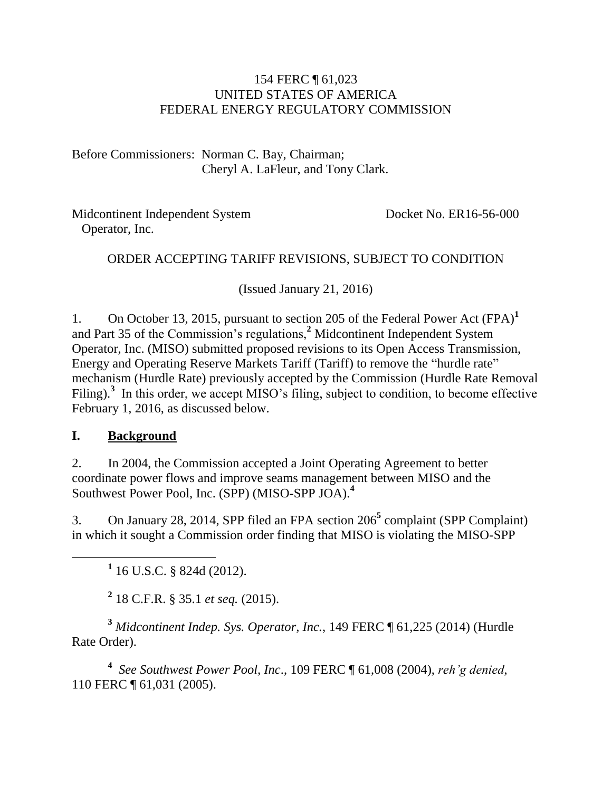#### 154 FERC ¶ 61,023 UNITED STATES OF AMERICA FEDERAL ENERGY REGULATORY COMMISSION

Before Commissioners: Norman C. Bay, Chairman; Cheryl A. LaFleur, and Tony Clark.

Midcontinent Independent System Operator, Inc.

Docket No. ER16-56-000

#### ORDER ACCEPTING TARIFF REVISIONS, SUBJECT TO CONDITION

(Issued January 21, 2016)

1. On October 13, 2015, pursuant to section 205 of the Federal Power Act (FPA)**<sup>1</sup>** and Part 35 of the Commission's regulations,**<sup>2</sup>** Midcontinent Independent System Operator, Inc. (MISO) submitted proposed revisions to its Open Access Transmission, Energy and Operating Reserve Markets Tariff (Tariff) to remove the "hurdle rate" mechanism (Hurdle Rate) previously accepted by the Commission (Hurdle Rate Removal Filing).<sup>3</sup> In this order, we accept MISO's filing, subject to condition, to become effective February 1, 2016, as discussed below.

#### **I. Background**

 $\overline{a}$ 

2. In 2004, the Commission accepted a Joint Operating Agreement to better coordinate power flows and improve seams management between MISO and the Southwest Power Pool, Inc. (SPP) (MISO-SPP JOA).**<sup>4</sup>**

3. On January 28, 2014, SPP filed an FPA section 206**<sup>5</sup>** complaint (SPP Complaint) in which it sought a Commission order finding that MISO is violating the MISO-SPP

**1** 16 U.S.C. § 824d (2012).

**2** 18 C.F.R. § 35.1 *et seq.* (2015).

**<sup>3</sup>** *Midcontinent Indep. Sys. Operator, Inc.*, 149 FERC ¶ 61,225 (2014) (Hurdle Rate Order).

**4** *See Southwest Power Pool, Inc*., 109 FERC ¶ 61,008 (2004), *reh'g denied*, 110 FERC ¶ 61,031 (2005).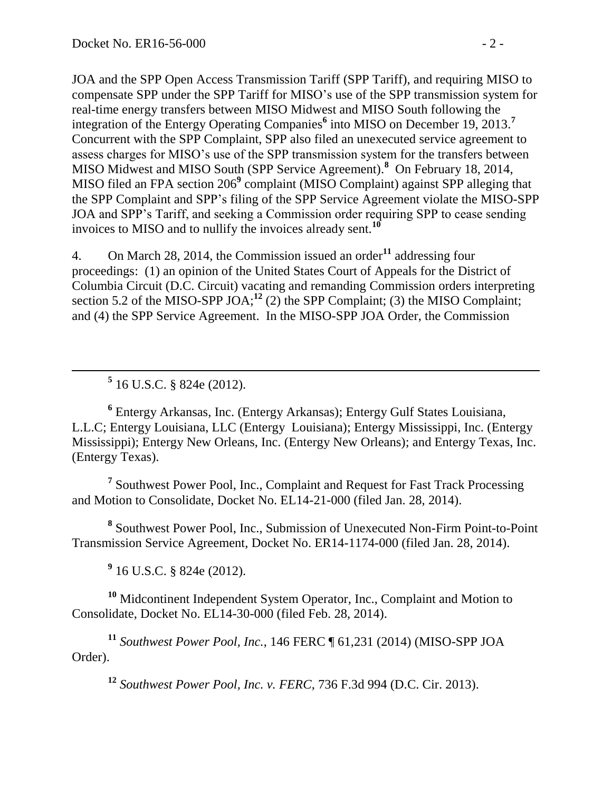JOA and the SPP Open Access Transmission Tariff (SPP Tariff), and requiring MISO to compensate SPP under the SPP Tariff for MISO's use of the SPP transmission system for real-time energy transfers between MISO Midwest and MISO South following the integration of the Entergy Operating Companies<sup>6</sup> into MISO on December 19, 2013.<sup>7</sup> Concurrent with the SPP Complaint, SPP also filed an unexecuted service agreement to assess charges for MISO's use of the SPP transmission system for the transfers between MISO Midwest and MISO South (SPP Service Agreement).**<sup>8</sup>** On February 18, 2014, MISO filed an FPA section 206**<sup>9</sup>** complaint (MISO Complaint) against SPP alleging that the SPP Complaint and SPP's filing of the SPP Service Agreement violate the MISO-SPP JOA and SPP's Tariff, and seeking a Commission order requiring SPP to cease sending invoices to MISO and to nullify the invoices already sent.**<sup>10</sup>**

4. On March 28, 2014, the Commission issued an order**<sup>11</sup>** addressing four proceedings: (1) an opinion of the United States Court of Appeals for the District of Columbia Circuit (D.C. Circuit) vacating and remanding Commission orders interpreting section 5.2 of the MISO-SPP JOA;<sup>12</sup> (2) the SPP Complaint; (3) the MISO Complaint; and (4) the SPP Service Agreement. In the MISO-SPP JOA Order, the Commission

**5** 16 U.S.C. § 824e (2012).

**6** Entergy Arkansas, Inc. (Entergy Arkansas); Entergy Gulf States Louisiana, L.L.C; Entergy Louisiana, LLC (Entergy Louisiana); Entergy Mississippi, Inc. (Entergy Mississippi); Entergy New Orleans, Inc. (Entergy New Orleans); and Entergy Texas, Inc. (Entergy Texas).

<sup>7</sup> Southwest Power Pool, Inc., Complaint and Request for Fast Track Processing and Motion to Consolidate, Docket No. EL14-21-000 (filed Jan. 28, 2014).

**8** Southwest Power Pool, Inc., Submission of Unexecuted Non-Firm Point-to-Point Transmission Service Agreement, Docket No. ER14-1174-000 (filed Jan. 28, 2014).

**9** 16 U.S.C. § 824e (2012).

**<sup>10</sup>** Midcontinent Independent System Operator, Inc., Complaint and Motion to Consolidate, Docket No. EL14-30-000 (filed Feb. 28, 2014).

**<sup>11</sup>** *Southwest Power Pool, Inc.*, 146 FERC ¶ 61,231 (2014) (MISO-SPP JOA Order).

**<sup>12</sup>** *Southwest Power Pool, Inc. v. FERC*, 736 F.3d 994 (D.C. Cir. 2013).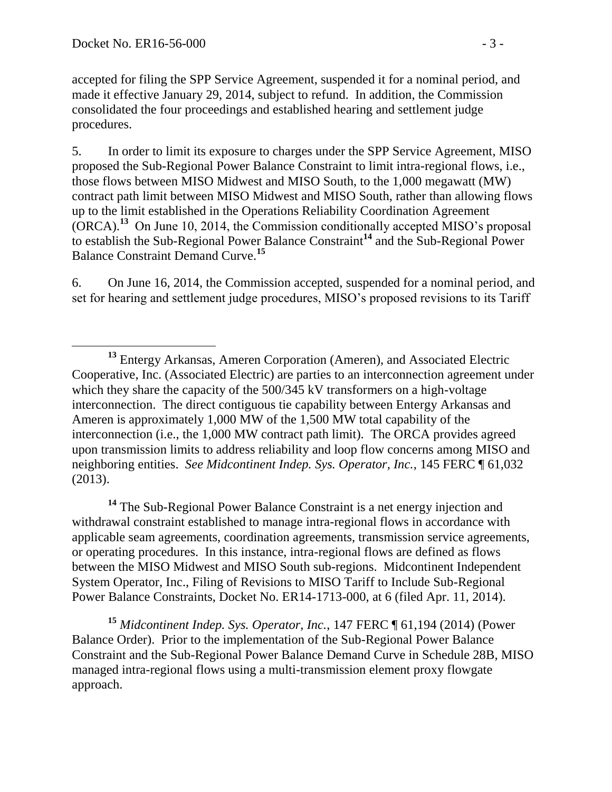$\overline{a}$ 

accepted for filing the SPP Service Agreement, suspended it for a nominal period, and made it effective January 29, 2014, subject to refund. In addition, the Commission consolidated the four proceedings and established hearing and settlement judge procedures.

5. In order to limit its exposure to charges under the SPP Service Agreement, MISO proposed the Sub-Regional Power Balance Constraint to limit intra-regional flows, i.e., those flows between MISO Midwest and MISO South, to the 1,000 megawatt (MW) contract path limit between MISO Midwest and MISO South, rather than allowing flows up to the limit established in the Operations Reliability Coordination Agreement (ORCA).**<sup>13</sup>** On June 10, 2014, the Commission conditionally accepted MISO's proposal to establish the Sub-Regional Power Balance Constraint**<sup>14</sup>** and the Sub-Regional Power Balance Constraint Demand Curve.**<sup>15</sup>**

6. On June 16, 2014, the Commission accepted, suspended for a nominal period, and set for hearing and settlement judge procedures, MISO's proposed revisions to its Tariff

**<sup>14</sup>** The Sub-Regional Power Balance Constraint is a net energy injection and withdrawal constraint established to manage intra-regional flows in accordance with applicable seam agreements, coordination agreements, transmission service agreements, or operating procedures. In this instance, intra-regional flows are defined as flows between the MISO Midwest and MISO South sub-regions. Midcontinent Independent System Operator, Inc., Filing of Revisions to MISO Tariff to Include Sub-Regional Power Balance Constraints, Docket No. ER14-1713-000, at 6 (filed Apr. 11, 2014).

**<sup>15</sup>** *Midcontinent Indep. Sys. Operator, Inc.*, 147 FERC ¶ 61,194 (2014) (Power Balance Order). Prior to the implementation of the Sub-Regional Power Balance Constraint and the Sub-Regional Power Balance Demand Curve in Schedule 28B, MISO managed intra-regional flows using a multi-transmission element proxy flowgate approach.

**<sup>13</sup>** Entergy Arkansas, Ameren Corporation (Ameren), and Associated Electric Cooperative, Inc. (Associated Electric) are parties to an interconnection agreement under which they share the capacity of the 500/345 kV transformers on a high-voltage interconnection. The direct contiguous tie capability between Entergy Arkansas and Ameren is approximately 1,000 MW of the 1,500 MW total capability of the interconnection (i.e., the 1,000 MW contract path limit). The ORCA provides agreed upon transmission limits to address reliability and loop flow concerns among MISO and neighboring entities. *See Midcontinent Indep. Sys. Operator, Inc.,* 145 FERC ¶ 61,032 (2013).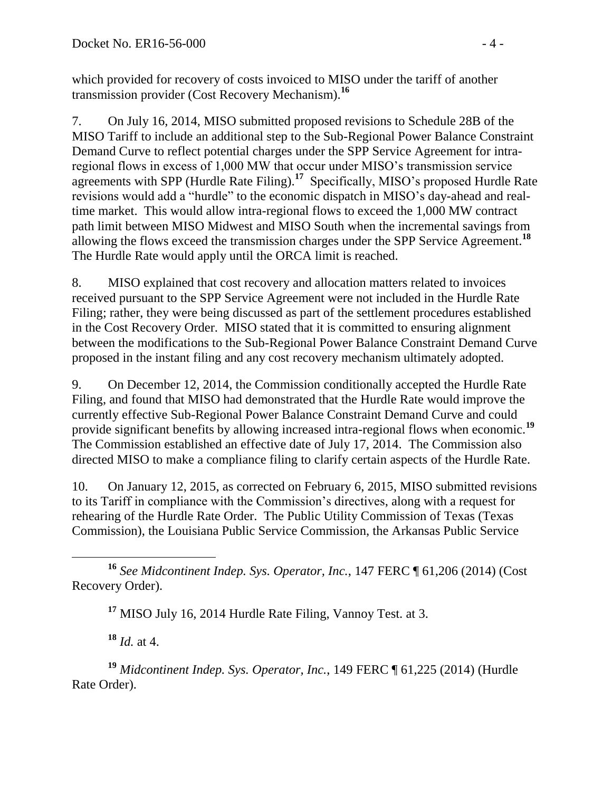which provided for recovery of costs invoiced to MISO under the tariff of another transmission provider (Cost Recovery Mechanism). **16**

7. On July 16, 2014, MISO submitted proposed revisions to Schedule 28B of the MISO Tariff to include an additional step to the Sub-Regional Power Balance Constraint Demand Curve to reflect potential charges under the SPP Service Agreement for intraregional flows in excess of 1,000 MW that occur under MISO's transmission service agreements with SPP (Hurdle Rate Filing).**<sup>17</sup>** Specifically, MISO's proposed Hurdle Rate revisions would add a "hurdle" to the economic dispatch in MISO's day-ahead and realtime market. This would allow intra-regional flows to exceed the 1,000 MW contract path limit between MISO Midwest and MISO South when the incremental savings from allowing the flows exceed the transmission charges under the SPP Service Agreement.**<sup>18</sup>** The Hurdle Rate would apply until the ORCA limit is reached.

8. MISO explained that cost recovery and allocation matters related to invoices received pursuant to the SPP Service Agreement were not included in the Hurdle Rate Filing; rather, they were being discussed as part of the settlement procedures established in the Cost Recovery Order. MISO stated that it is committed to ensuring alignment between the modifications to the Sub-Regional Power Balance Constraint Demand Curve proposed in the instant filing and any cost recovery mechanism ultimately adopted.

9. On December 12, 2014, the Commission conditionally accepted the Hurdle Rate Filing, and found that MISO had demonstrated that the Hurdle Rate would improve the currently effective Sub-Regional Power Balance Constraint Demand Curve and could provide significant benefits by allowing increased intra-regional flows when economic.**<sup>19</sup>** The Commission established an effective date of July 17, 2014. The Commission also directed MISO to make a compliance filing to clarify certain aspects of the Hurdle Rate.

10. On January 12, 2015, as corrected on February 6, 2015, MISO submitted revisions to its Tariff in compliance with the Commission's directives, along with a request for rehearing of the Hurdle Rate Order. The Public Utility Commission of Texas (Texas Commission), the Louisiana Public Service Commission, the Arkansas Public Service

 $\overline{a}$ **<sup>16</sup>** *See Midcontinent Indep. Sys. Operator, Inc.*, 147 FERC ¶ 61,206 (2014) (Cost Recovery Order).

**<sup>17</sup>** MISO July 16, 2014 Hurdle Rate Filing, Vannoy Test. at 3.

**<sup>18</sup>** *Id.* at 4.

**<sup>19</sup>** *Midcontinent Indep. Sys. Operator, Inc.*, 149 FERC ¶ 61,225 (2014) (Hurdle Rate Order).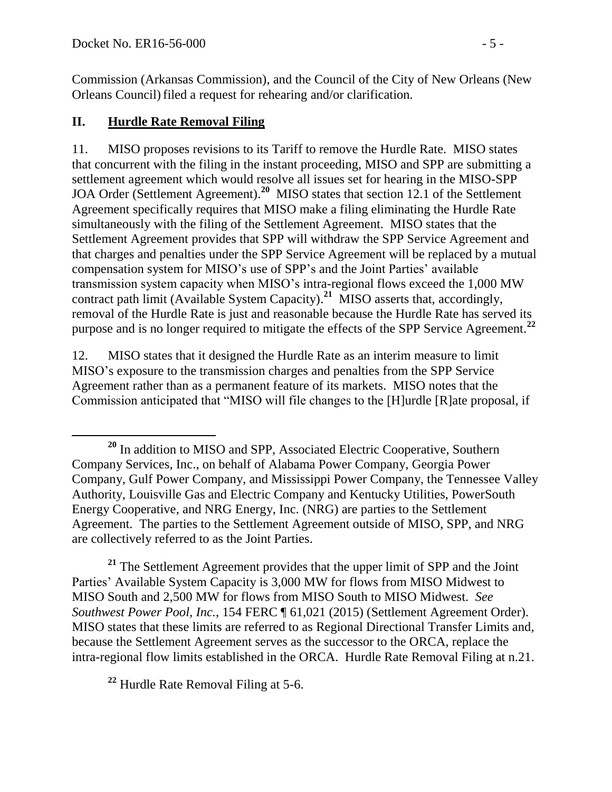Commission (Arkansas Commission), and the Council of the City of New Orleans (New Orleans Council) filed a request for rehearing and/or clarification.

## **II. Hurdle Rate Removal Filing**

11. MISO proposes revisions to its Tariff to remove the Hurdle Rate. MISO states that concurrent with the filing in the instant proceeding, MISO and SPP are submitting a settlement agreement which would resolve all issues set for hearing in the MISO-SPP JOA Order (Settlement Agreement).**<sup>20</sup>** MISO states that section 12.1 of the Settlement Agreement specifically requires that MISO make a filing eliminating the Hurdle Rate simultaneously with the filing of the Settlement Agreement. MISO states that the Settlement Agreement provides that SPP will withdraw the SPP Service Agreement and that charges and penalties under the SPP Service Agreement will be replaced by a mutual compensation system for MISO's use of SPP's and the Joint Parties' available transmission system capacity when MISO's intra-regional flows exceed the 1,000 MW contract path limit (Available System Capacity). **21** MISO asserts that, accordingly, removal of the Hurdle Rate is just and reasonable because the Hurdle Rate has served its purpose and is no longer required to mitigate the effects of the SPP Service Agreement.**<sup>22</sup>**

12. MISO states that it designed the Hurdle Rate as an interim measure to limit MISO's exposure to the transmission charges and penalties from the SPP Service Agreement rather than as a permanent feature of its markets. MISO notes that the Commission anticipated that "MISO will file changes to the [H]urdle [R]ate proposal, if

<sup>21</sup> The Settlement Agreement provides that the upper limit of SPP and the Joint Parties' Available System Capacity is 3,000 MW for flows from MISO Midwest to MISO South and 2,500 MW for flows from MISO South to MISO Midwest. *See Southwest Power Pool, Inc.*, 154 FERC ¶ 61,021 (2015) (Settlement Agreement Order). MISO states that these limits are referred to as Regional Directional Transfer Limits and, because the Settlement Agreement serves as the successor to the ORCA, replace the intra-regional flow limits established in the ORCA. Hurdle Rate Removal Filing at n.21.

**<sup>22</sup>** Hurdle Rate Removal Filing at 5-6.

 $\overline{a}$ **<sup>20</sup>** In addition to MISO and SPP, Associated Electric Cooperative, Southern Company Services, Inc., on behalf of Alabama Power Company, Georgia Power Company, Gulf Power Company, and Mississippi Power Company, the Tennessee Valley Authority, Louisville Gas and Electric Company and Kentucky Utilities, PowerSouth Energy Cooperative, and NRG Energy, Inc. (NRG) are parties to the Settlement Agreement. The parties to the Settlement Agreement outside of MISO, SPP, and NRG are collectively referred to as the Joint Parties.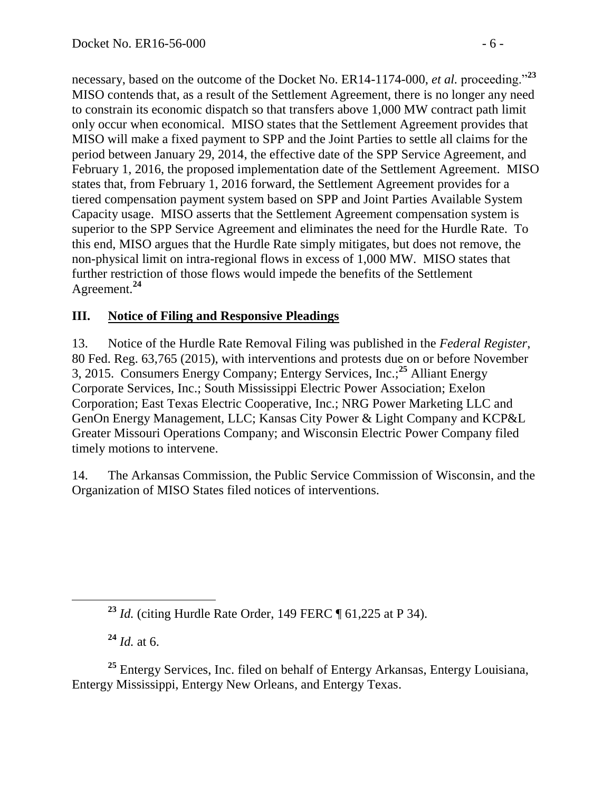necessary, based on the outcome of the Docket No. ER14-1174-000, *et al.* proceeding."**<sup>23</sup>** MISO contends that, as a result of the Settlement Agreement, there is no longer any need to constrain its economic dispatch so that transfers above 1,000 MW contract path limit only occur when economical. MISO states that the Settlement Agreement provides that MISO will make a fixed payment to SPP and the Joint Parties to settle all claims for the period between January 29, 2014, the effective date of the SPP Service Agreement, and February 1, 2016, the proposed implementation date of the Settlement Agreement. MISO states that, from February 1, 2016 forward, the Settlement Agreement provides for a tiered compensation payment system based on SPP and Joint Parties Available System Capacity usage. MISO asserts that the Settlement Agreement compensation system is superior to the SPP Service Agreement and eliminates the need for the Hurdle Rate. To this end, MISO argues that the Hurdle Rate simply mitigates, but does not remove, the non-physical limit on intra-regional flows in excess of 1,000 MW. MISO states that further restriction of those flows would impede the benefits of the Settlement Agreement.**<sup>24</sup>**

## **III. Notice of Filing and Responsive Pleadings**

13. Notice of the Hurdle Rate Removal Filing was published in the *Federal Register*, 80 Fed. Reg. 63,765 (2015), with interventions and protests due on or before November 3, 2015. Consumers Energy Company; Entergy Services, Inc.; **<sup>25</sup>** Alliant Energy Corporate Services, Inc.; South Mississippi Electric Power Association; Exelon Corporation; East Texas Electric Cooperative, Inc.; NRG Power Marketing LLC and GenOn Energy Management, LLC; Kansas City Power & Light Company and KCP&L Greater Missouri Operations Company; and Wisconsin Electric Power Company filed timely motions to intervene.

14. The Arkansas Commission, the Public Service Commission of Wisconsin, and the Organization of MISO States filed notices of interventions.

**<sup>24</sup>** *Id.* at 6.

**<sup>25</sup>** Entergy Services, Inc. filed on behalf of Entergy Arkansas, Entergy Louisiana, Entergy Mississippi, Entergy New Orleans, and Entergy Texas.

**<sup>23</sup>** *Id.* (citing Hurdle Rate Order, 149 FERC ¶ 61,225 at P 34).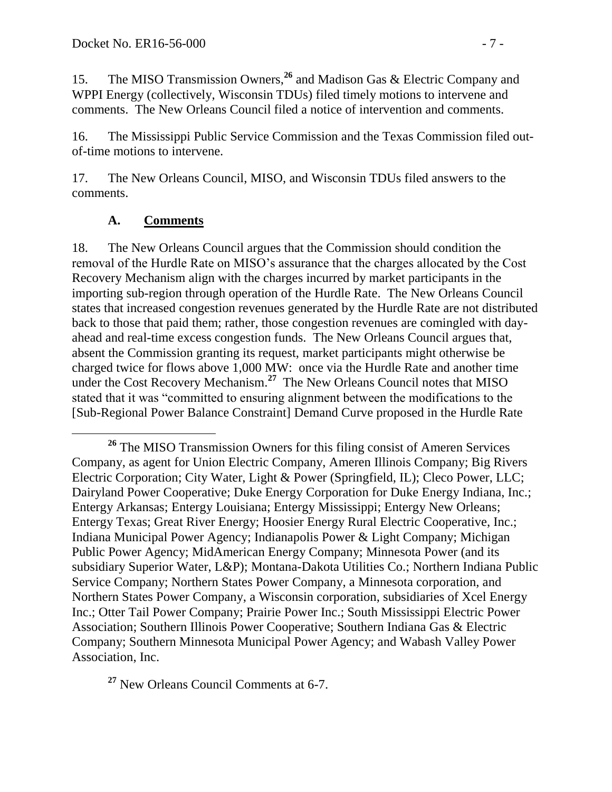15. The MISO Transmission Owners, **<sup>26</sup>** and Madison Gas & Electric Company and WPPI Energy (collectively, Wisconsin TDUs) filed timely motions to intervene and comments. The New Orleans Council filed a notice of intervention and comments.

16. The Mississippi Public Service Commission and the Texas Commission filed outof-time motions to intervene.

17. The New Orleans Council, MISO, and Wisconsin TDUs filed answers to the comments.

### **A. Comments**

 $\overline{a}$ 

18. The New Orleans Council argues that the Commission should condition the removal of the Hurdle Rate on MISO's assurance that the charges allocated by the Cost Recovery Mechanism align with the charges incurred by market participants in the importing sub-region through operation of the Hurdle Rate. The New Orleans Council states that increased congestion revenues generated by the Hurdle Rate are not distributed back to those that paid them; rather, those congestion revenues are comingled with dayahead and real-time excess congestion funds. The New Orleans Council argues that, absent the Commission granting its request, market participants might otherwise be charged twice for flows above 1,000 MW: once via the Hurdle Rate and another time under the Cost Recovery Mechanism.**<sup>27</sup>** The New Orleans Council notes that MISO stated that it was "committed to ensuring alignment between the modifications to the [Sub-Regional Power Balance Constraint] Demand Curve proposed in the Hurdle Rate

**<sup>27</sup>** New Orleans Council Comments at 6-7.

**<sup>26</sup>** The MISO Transmission Owners for this filing consist of Ameren Services Company, as agent for Union Electric Company, Ameren Illinois Company; Big Rivers Electric Corporation; City Water, Light & Power (Springfield, IL); Cleco Power, LLC; Dairyland Power Cooperative; Duke Energy Corporation for Duke Energy Indiana, Inc.; Entergy Arkansas; Entergy Louisiana; Entergy Mississippi; Entergy New Orleans; Entergy Texas; Great River Energy; Hoosier Energy Rural Electric Cooperative, Inc.; Indiana Municipal Power Agency; Indianapolis Power & Light Company; Michigan Public Power Agency; MidAmerican Energy Company; Minnesota Power (and its subsidiary Superior Water, L&P); Montana-Dakota Utilities Co.; Northern Indiana Public Service Company; Northern States Power Company, a Minnesota corporation, and Northern States Power Company, a Wisconsin corporation, subsidiaries of Xcel Energy Inc.; Otter Tail Power Company; Prairie Power Inc.; South Mississippi Electric Power Association; Southern Illinois Power Cooperative; Southern Indiana Gas & Electric Company; Southern Minnesota Municipal Power Agency; and Wabash Valley Power Association, Inc.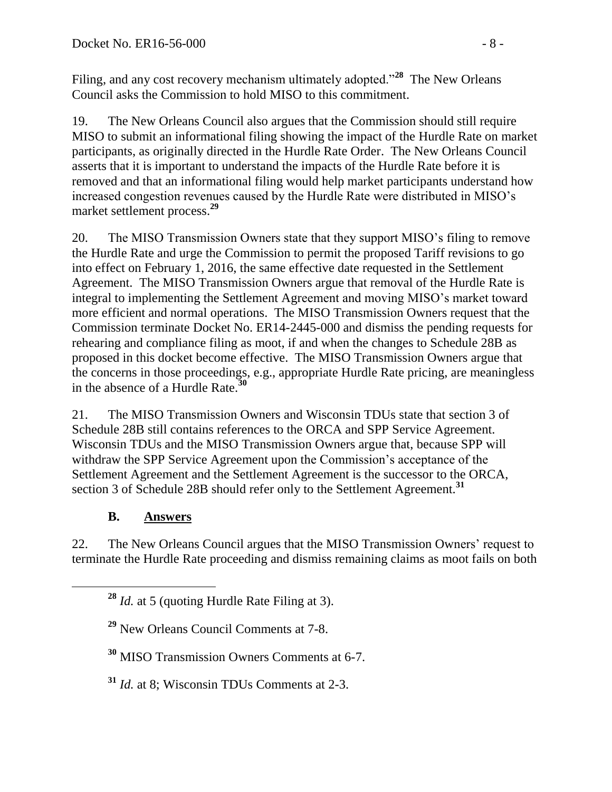Filing, and any cost recovery mechanism ultimately adopted."<sup>28</sup> The New Orleans Council asks the Commission to hold MISO to this commitment.

19. The New Orleans Council also argues that the Commission should still require MISO to submit an informational filing showing the impact of the Hurdle Rate on market participants, as originally directed in the Hurdle Rate Order. The New Orleans Council asserts that it is important to understand the impacts of the Hurdle Rate before it is removed and that an informational filing would help market participants understand how increased congestion revenues caused by the Hurdle Rate were distributed in MISO's market settlement process.**<sup>29</sup>**

20. The MISO Transmission Owners state that they support MISO's filing to remove the Hurdle Rate and urge the Commission to permit the proposed Tariff revisions to go into effect on February 1, 2016, the same effective date requested in the Settlement Agreement. The MISO Transmission Owners argue that removal of the Hurdle Rate is integral to implementing the Settlement Agreement and moving MISO's market toward more efficient and normal operations. The MISO Transmission Owners request that the Commission terminate Docket No. ER14-2445-000 and dismiss the pending requests for rehearing and compliance filing as moot, if and when the changes to Schedule 28B as proposed in this docket become effective. The MISO Transmission Owners argue that the concerns in those proceedings, e.g., appropriate Hurdle Rate pricing, are meaningless in the absence of a Hurdle Rate.**<sup>30</sup>**

21. The MISO Transmission Owners and Wisconsin TDUs state that section 3 of Schedule 28B still contains references to the ORCA and SPP Service Agreement. Wisconsin TDUs and the MISO Transmission Owners argue that, because SPP will withdraw the SPP Service Agreement upon the Commission's acceptance of the Settlement Agreement and the Settlement Agreement is the successor to the ORCA, section 3 of Schedule 28B should refer only to the Settlement Agreement.**<sup>31</sup>**

# **B. Answers**

22. The New Orleans Council argues that the MISO Transmission Owners' request to terminate the Hurdle Rate proceeding and dismiss remaining claims as moot fails on both

**<sup>30</sup>** MISO Transmission Owners Comments at 6-7.

**<sup>31</sup>** *Id.* at 8; Wisconsin TDUs Comments at 2-3.

**<sup>28</sup>** *Id.* at 5 (quoting Hurdle Rate Filing at 3).

**<sup>29</sup>** New Orleans Council Comments at 7-8.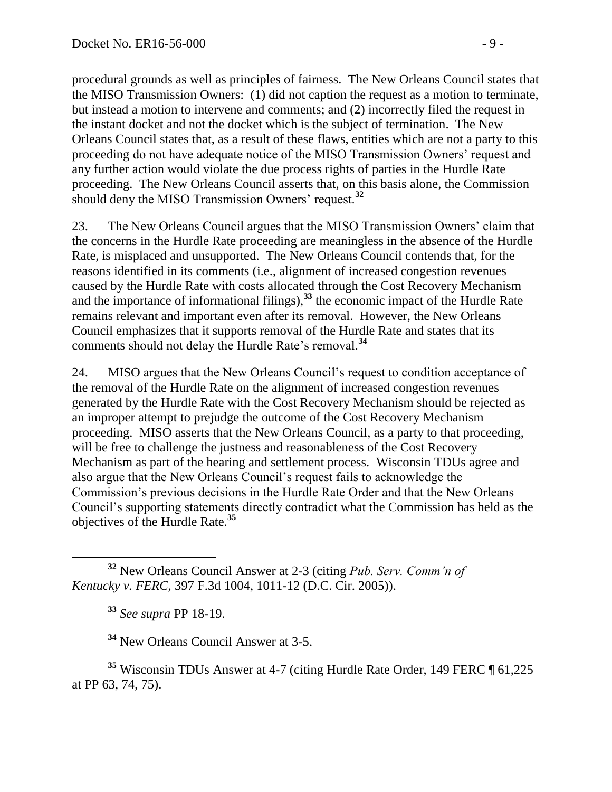procedural grounds as well as principles of fairness. The New Orleans Council states that the MISO Transmission Owners: (1) did not caption the request as a motion to terminate, but instead a motion to intervene and comments; and (2) incorrectly filed the request in the instant docket and not the docket which is the subject of termination. The New Orleans Council states that, as a result of these flaws, entities which are not a party to this proceeding do not have adequate notice of the MISO Transmission Owners' request and any further action would violate the due process rights of parties in the Hurdle Rate proceeding. The New Orleans Council asserts that, on this basis alone, the Commission should deny the MISO Transmission Owners' request.**<sup>32</sup>**

23. The New Orleans Council argues that the MISO Transmission Owners' claim that the concerns in the Hurdle Rate proceeding are meaningless in the absence of the Hurdle Rate, is misplaced and unsupported. The New Orleans Council contends that, for the reasons identified in its comments (i.e., alignment of increased congestion revenues caused by the Hurdle Rate with costs allocated through the Cost Recovery Mechanism and the importance of informational filings),**<sup>33</sup>** the economic impact of the Hurdle Rate remains relevant and important even after its removal. However, the New Orleans Council emphasizes that it supports removal of the Hurdle Rate and states that its comments should not delay the Hurdle Rate's removal.**<sup>34</sup>**

24. MISO argues that the New Orleans Council's request to condition acceptance of the removal of the Hurdle Rate on the alignment of increased congestion revenues generated by the Hurdle Rate with the Cost Recovery Mechanism should be rejected as an improper attempt to prejudge the outcome of the Cost Recovery Mechanism proceeding. MISO asserts that the New Orleans Council, as a party to that proceeding, will be free to challenge the justness and reasonableness of the Cost Recovery Mechanism as part of the hearing and settlement process. Wisconsin TDUs agree and also argue that the New Orleans Council's request fails to acknowledge the Commission's previous decisions in the Hurdle Rate Order and that the New Orleans Council's supporting statements directly contradict what the Commission has held as the objectives of the Hurdle Rate.**<sup>35</sup>**

**<sup>33</sup>** *See supra* PP 18-19.

**<sup>34</sup>** New Orleans Council Answer at 3-5.

**<sup>35</sup>** Wisconsin TDUs Answer at 4-7 (citing Hurdle Rate Order, 149 FERC ¶ 61,225 at PP 63, 74, 75).

 $\overline{a}$ **<sup>32</sup>** New Orleans Council Answer at 2-3 (citing *Pub. Serv. Comm'n of Kentucky v. FERC*, 397 F.3d 1004, 1011-12 (D.C. Cir. 2005)).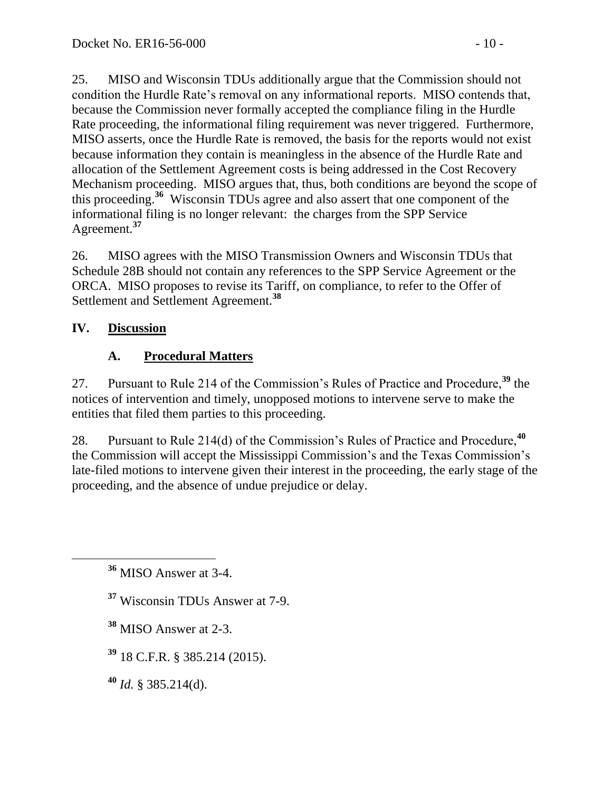25. MISO and Wisconsin TDUs additionally argue that the Commission should not condition the Hurdle Rate's removal on any informational reports. MISO contends that, because the Commission never formally accepted the compliance filing in the Hurdle Rate proceeding, the informational filing requirement was never triggered. Furthermore, MISO asserts, once the Hurdle Rate is removed, the basis for the reports would not exist because information they contain is meaningless in the absence of the Hurdle Rate and allocation of the Settlement Agreement costs is being addressed in the Cost Recovery Mechanism proceeding. MISO argues that, thus, both conditions are beyond the scope of this proceeding.**<sup>36</sup>** Wisconsin TDUs agree and also assert that one component of the informational filing is no longer relevant: the charges from the SPP Service Agreement.**<sup>37</sup>**

26. MISO agrees with the MISO Transmission Owners and Wisconsin TDUs that Schedule 28B should not contain any references to the SPP Service Agreement or the ORCA. MISO proposes to revise its Tariff, on compliance, to refer to the Offer of Settlement and Settlement Agreement.**<sup>38</sup>**

## **IV. Discussion**

 $\overline{a}$ 

# **A. Procedural Matters**

27. Pursuant to Rule 214 of the Commission's Rules of Practice and Procedure,**<sup>39</sup>** the notices of intervention and timely, unopposed motions to intervene serve to make the entities that filed them parties to this proceeding.

28. Pursuant to Rule 214(d) of the Commission's Rules of Practice and Procedure,**<sup>40</sup>** the Commission will accept the Mississippi Commission's and the Texas Commission's late-filed motions to intervene given their interest in the proceeding, the early stage of the proceeding, and the absence of undue prejudice or delay.

**<sup>36</sup>** MISO Answer at 3-4.

**<sup>37</sup>** Wisconsin TDUs Answer at 7-9.

**<sup>38</sup>** MISO Answer at 2-3.

**<sup>39</sup>** 18 C.F.R. § 385.214 (2015).

**<sup>40</sup>** *Id.* § 385.214(d).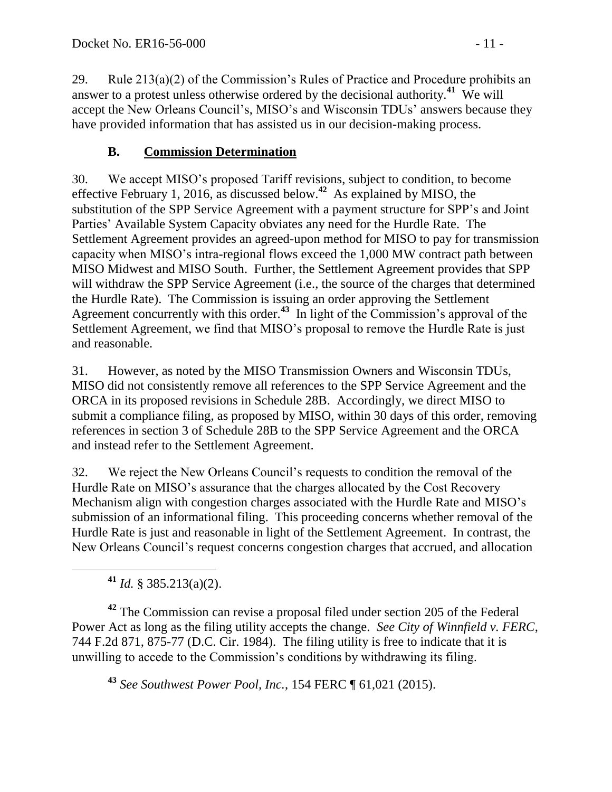29. Rule 213(a)(2) of the Commission's Rules of Practice and Procedure prohibits an answer to a protest unless otherwise ordered by the decisional authority.<sup>41</sup> We will accept the New Orleans Council's, MISO's and Wisconsin TDUs' answers because they have provided information that has assisted us in our decision-making process.

# **B. Commission Determination**

30. We accept MISO's proposed Tariff revisions, subject to condition, to become effective February 1, 2016, as discussed below.**<sup>42</sup>** As explained by MISO, the substitution of the SPP Service Agreement with a payment structure for SPP's and Joint Parties' Available System Capacity obviates any need for the Hurdle Rate. The Settlement Agreement provides an agreed-upon method for MISO to pay for transmission capacity when MISO's intra-regional flows exceed the 1,000 MW contract path between MISO Midwest and MISO South. Further, the Settlement Agreement provides that SPP will withdraw the SPP Service Agreement (i.e., the source of the charges that determined the Hurdle Rate). The Commission is issuing an order approving the Settlement Agreement concurrently with this order.**<sup>43</sup>** In light of the Commission's approval of the Settlement Agreement, we find that MISO's proposal to remove the Hurdle Rate is just and reasonable.

31. However, as noted by the MISO Transmission Owners and Wisconsin TDUs, MISO did not consistently remove all references to the SPP Service Agreement and the ORCA in its proposed revisions in Schedule 28B. Accordingly, we direct MISO to submit a compliance filing, as proposed by MISO, within 30 days of this order, removing references in section 3 of Schedule 28B to the SPP Service Agreement and the ORCA and instead refer to the Settlement Agreement.

32. We reject the New Orleans Council's requests to condition the removal of the Hurdle Rate on MISO's assurance that the charges allocated by the Cost Recovery Mechanism align with congestion charges associated with the Hurdle Rate and MISO's submission of an informational filing. This proceeding concerns whether removal of the Hurdle Rate is just and reasonable in light of the Settlement Agreement. In contrast, the New Orleans Council's request concerns congestion charges that accrued, and allocation

**<sup>41</sup>** *Id.* § 385.213(a)(2).

**<sup>42</sup>** The Commission can revise a proposal filed under section 205 of the Federal Power Act as long as the filing utility accepts the change. *See City of Winnfield v. FERC*, 744 F.2d 871, 875-77 (D.C. Cir. 1984). The filing utility is free to indicate that it is unwilling to accede to the Commission's conditions by withdrawing its filing.

**<sup>43</sup>** *See Southwest Power Pool, Inc.*, 154 FERC ¶ 61,021 (2015).